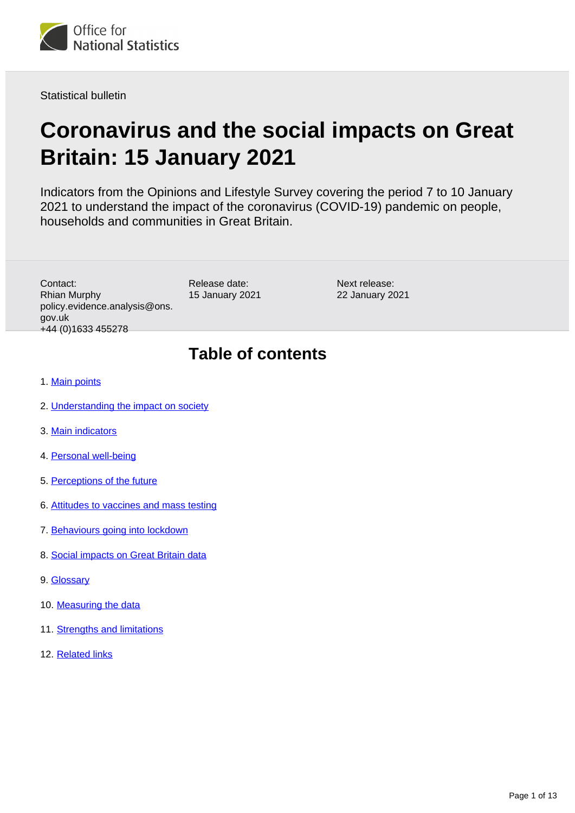

Statistical bulletin

# **Coronavirus and the social impacts on Great Britain: 15 January 2021**

Indicators from the Opinions and Lifestyle Survey covering the period 7 to 10 January 2021 to understand the impact of the coronavirus (COVID-19) pandemic on people, households and communities in Great Britain.

Contact: Rhian Murphy policy.evidence.analysis@ons. gov.uk +44 (0)1633 455278

Release date: 15 January 2021

Next release: 22 January 2021

# **Table of contents**

- 1. [Main points](#page-1-0)
- 2. [Understanding the impact on society](#page-2-0)
- 3. [Main indicators](#page-2-1)
- 4. [Personal well-being](#page-3-0)
- 5. [Perceptions of the future](#page-3-1)
- 6. [Attitudes to vaccines and mass testing](#page-4-0)
- 7. [Behaviours going into lockdown](#page-4-1)
- 8. [Social impacts on Great Britain data](#page-8-0)
- 9. [Glossary](#page-8-1)
- 10. [Measuring the data](#page-10-0)
- 11. [Strengths and limitations](#page-11-0)
- 12. [Related links](#page-12-0)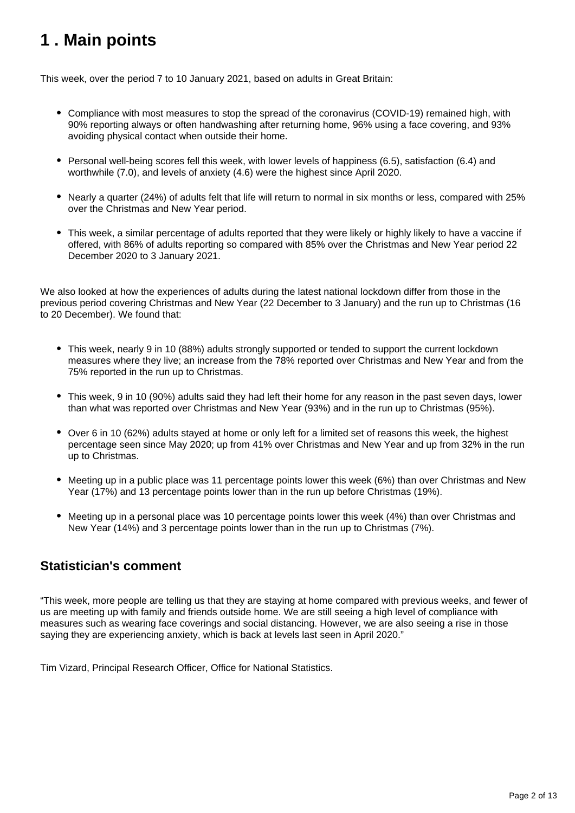# <span id="page-1-0"></span>**1 . Main points**

This week, over the period 7 to 10 January 2021, based on adults in Great Britain:

- Compliance with most measures to stop the spread of the coronavirus (COVID-19) remained high, with 90% reporting always or often handwashing after returning home, 96% using a face covering, and 93% avoiding physical contact when outside their home.
- Personal well-being scores fell this week, with lower levels of happiness (6.5), satisfaction (6.4) and worthwhile (7.0), and levels of anxiety (4.6) were the highest since April 2020.
- Nearly a quarter (24%) of adults felt that life will return to normal in six months or less, compared with 25% over the Christmas and New Year period.
- This week, a similar percentage of adults reported that they were likely or highly likely to have a vaccine if offered, with 86% of adults reporting so compared with 85% over the Christmas and New Year period 22 December 2020 to 3 January 2021.

We also looked at how the experiences of adults during the latest national lockdown differ from those in the previous period covering Christmas and New Year (22 December to 3 January) and the run up to Christmas (16 to 20 December). We found that:

- This week, nearly 9 in 10 (88%) adults strongly supported or tended to support the current lockdown measures where they live; an increase from the 78% reported over Christmas and New Year and from the 75% reported in the run up to Christmas.
- This week, 9 in 10 (90%) adults said they had left their home for any reason in the past seven days, lower than what was reported over Christmas and New Year (93%) and in the run up to Christmas (95%).
- Over 6 in 10 (62%) adults stayed at home or only left for a limited set of reasons this week, the highest percentage seen since May 2020; up from 41% over Christmas and New Year and up from 32% in the run up to Christmas.
- Meeting up in a public place was 11 percentage points lower this week (6%) than over Christmas and New Year (17%) and 13 percentage points lower than in the run up before Christmas (19%).
- Meeting up in a personal place was 10 percentage points lower this week (4%) than over Christmas and New Year (14%) and 3 percentage points lower than in the run up to Christmas (7%).

### **Statistician's comment**

"This week, more people are telling us that they are staying at home compared with previous weeks, and fewer of us are meeting up with family and friends outside home. We are still seeing a high level of compliance with measures such as wearing face coverings and social distancing. However, we are also seeing a rise in those saying they are experiencing anxiety, which is back at levels last seen in April 2020."

Tim Vizard, Principal Research Officer, Office for National Statistics.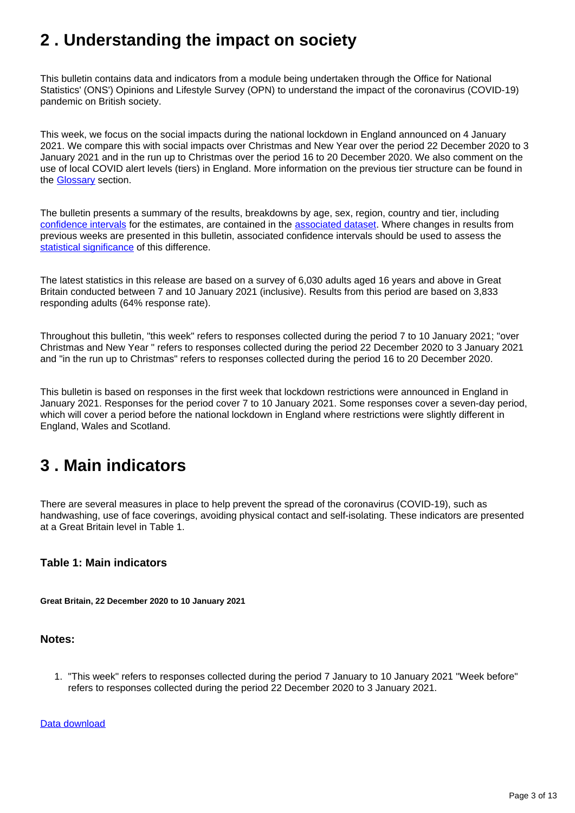# <span id="page-2-0"></span>**2 . Understanding the impact on society**

This bulletin contains data and indicators from a module being undertaken through the Office for National Statistics' (ONS') Opinions and Lifestyle Survey (OPN) to understand the impact of the coronavirus (COVID-19) pandemic on British society.

This week, we focus on the social impacts during the national lockdown in England announced on 4 January 2021. We compare this with social impacts over Christmas and New Year over the period 22 December 2020 to 3 January 2021 and in the run up to Christmas over the period 16 to 20 December 2020. We also comment on the use of local COVID alert levels (tiers) in England. More information on the previous tier structure can be found in the [Glossary](https://www.ons.gov.uk/peoplepopulationandcommunity/healthandsocialcare/healthandwellbeing/bulletins/coronavirusandthesocialimpactsongreatbritain/15january2021#glossary) section.

The bulletin presents a summary of the results, breakdowns by age, sex, region, country and tier, including [confidence intervals](https://www.ons.gov.uk/methodology/methodologytopicsandstatisticalconcepts/uncertaintyandhowwemeasureit#confidence-interval) for the estimates, are contained in the [associated dataset.](https://www.ons.gov.uk/peoplepopulationandcommunity/healthandsocialcare/healthandwellbeing/bulletins/coronavirusandthesocialimpactsongreatbritain/15january2021/relateddata) Where changes in results from previous weeks are presented in this bulletin, associated confidence intervals should be used to assess the [statistical significance](https://www.ons.gov.uk/methodology/methodologytopicsandstatisticalconcepts/uncertaintyandhowwemeasureit#statistical-significance) of this difference.

The latest statistics in this release are based on a survey of 6,030 adults aged 16 years and above in Great Britain conducted between 7 and 10 January 2021 (inclusive). Results from this period are based on 3,833 responding adults (64% response rate).

Throughout this bulletin, "this week" refers to responses collected during the period 7 to 10 January 2021; "over Christmas and New Year " refers to responses collected during the period 22 December 2020 to 3 January 2021 and "in the run up to Christmas" refers to responses collected during the period 16 to 20 December 2020.

This bulletin is based on responses in the first week that lockdown restrictions were announced in England in January 2021. Responses for the period cover 7 to 10 January 2021. Some responses cover a seven-day period, which will cover a period before the national lockdown in England where restrictions were slightly different in England, Wales and Scotland.

# <span id="page-2-1"></span>**3 . Main indicators**

There are several measures in place to help prevent the spread of the coronavirus (COVID-19), such as handwashing, use of face coverings, avoiding physical contact and self-isolating. These indicators are presented at a Great Britain level in Table 1.

#### **Table 1: Main indicators**

**Great Britain, 22 December 2020 to 10 January 2021**

#### **Notes:**

1. "This week" refers to responses collected during the period 7 January to 10 January 2021 "Week before" refers to responses collected during the period 22 December 2020 to 3 January 2021.

[Data download](https://www.ons.gov.uk/visualisations/dvc1136/table/datadownload.xlsx)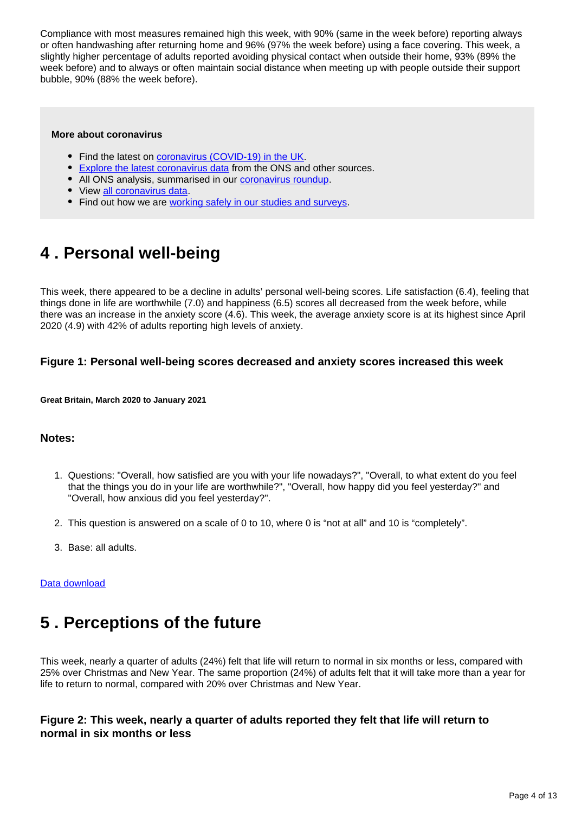Compliance with most measures remained high this week, with 90% (same in the week before) reporting always or often handwashing after returning home and 96% (97% the week before) using a face covering. This week, a slightly higher percentage of adults reported avoiding physical contact when outside their home, 93% (89% the week before) and to always or often maintain social distance when meeting up with people outside their support bubble, 90% (88% the week before).

#### **More about coronavirus**

- Find the latest on [coronavirus \(COVID-19\) in the UK.](https://www.ons.gov.uk/peoplepopulationandcommunity/healthandsocialcare/conditionsanddiseases)
- [Explore the latest coronavirus data](https://www.ons.gov.uk/peoplepopulationandcommunity/healthandsocialcare/conditionsanddiseases/articles/coronaviruscovid19/latestinsights) from the ONS and other sources.
- All ONS analysis, summarised in our [coronavirus roundup.](https://www.ons.gov.uk/peoplepopulationandcommunity/healthandsocialcare/conditionsanddiseases/articles/coronaviruscovid19roundup/latest)
- View [all coronavirus data](https://www.ons.gov.uk/peoplepopulationandcommunity/healthandsocialcare/conditionsanddiseases/datalist).
- Find out how we are [working safely in our studies and surveys.](https://www.ons.gov.uk/news/statementsandletters/ensuringyoursafetyduringcovid19)

# <span id="page-3-0"></span>**4 . Personal well-being**

This week, there appeared to be a decline in adults' personal well-being scores. Life satisfaction (6.4), feeling that things done in life are worthwhile (7.0) and happiness (6.5) scores all decreased from the week before, while there was an increase in the anxiety score (4.6). This week, the average anxiety score is at its highest since April 2020 (4.9) with 42% of adults reporting high levels of anxiety.

#### **Figure 1: Personal well-being scores decreased and anxiety scores increased this week**

**Great Britain, March 2020 to January 2021**

#### **Notes:**

- 1. Questions: "Overall, how satisfied are you with your life nowadays?", "Overall, to what extent do you feel that the things you do in your life are worthwhile?", "Overall, how happy did you feel yesterday?" and "Overall, how anxious did you feel yesterday?".
- 2. This question is answered on a scale of 0 to 10, where 0 is "not at all" and 10 is "completely".
- 3. Base: all adults.

#### [Data download](https://www.ons.gov.uk/visualisations/dvc1136/wellbeing/wrapper/datadownload.xlsx)

# <span id="page-3-1"></span>**5 . Perceptions of the future**

This week, nearly a quarter of adults (24%) felt that life will return to normal in six months or less, compared with 25% over Christmas and New Year. The same proportion (24%) of adults felt that it will take more than a year for life to return to normal, compared with 20% over Christmas and New Year.

#### **Figure 2: This week, nearly a quarter of adults reported they felt that life will return to normal in six months or less**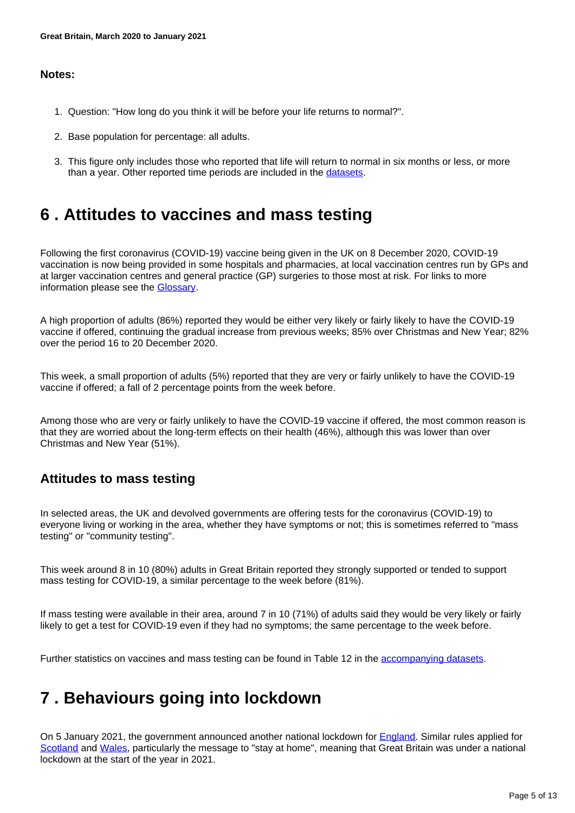#### **Notes:**

- 1. Question: "How long do you think it will be before your life returns to normal?".
- 2. Base population for percentage: all adults.
- 3. This figure only includes those who reported that life will return to normal in six months or less, or more than a year. Other reported time periods are included in the [datasets](https://www.ons.gov.uk/peoplepopulationandcommunity/healthandsocialcare/healthandwellbeing/bulletins/coronavirusandthesocialimpactsongreatbritain/15january2021/relateddata).

# <span id="page-4-0"></span>**6 . Attitudes to vaccines and mass testing**

Following the first coronavirus (COVID-19) vaccine being given in the UK on 8 December 2020, COVID-19 vaccination is now being provided in some hospitals and pharmacies, at local vaccination centres run by GPs and at larger vaccination centres and general practice (GP) surgeries to those most at risk. For links to more information please see the [Glossary.](https://www.ons.gov.uk/peoplepopulationandcommunity/healthandsocialcare/healthandwellbeing/bulletins/coronavirusandthesocialimpactsongreatbritain/15january2021#glossary)

A high proportion of adults (86%) reported they would be either very likely or fairly likely to have the COVID-19 vaccine if offered, continuing the gradual increase from previous weeks; 85% over Christmas and New Year; 82% over the period 16 to 20 December 2020.

This week, a small proportion of adults (5%) reported that they are very or fairly unlikely to have the COVID-19 vaccine if offered; a fall of 2 percentage points from the week before.

Among those who are very or fairly unlikely to have the COVID-19 vaccine if offered, the most common reason is that they are worried about the long-term effects on their health (46%), although this was lower than over Christmas and New Year (51%).

### **Attitudes to mass testing**

In selected areas, the UK and devolved governments are offering tests for the coronavirus (COVID-19) to everyone living or working in the area, whether they have symptoms or not; this is sometimes referred to "mass testing" or "community testing".

This week around 8 in 10 (80%) adults in Great Britain reported they strongly supported or tended to support mass testing for COVID-19, a similar percentage to the week before (81%).

If mass testing were available in their area, around 7 in 10 (71%) of adults said they would be very likely or fairly likely to get a test for COVID-19 even if they had no symptoms; the same percentage to the week before.

Further statistics on vaccines and mass testing can be found in Table 12 in the [accompanying datasets.](https://www.ons.gov.uk/peoplepopulationandcommunity/healthandsocialcare/healthandwellbeing/datasets/coronavirusandthesocialimpactsongreatbritaindata)

# <span id="page-4-1"></span>**7 . Behaviours going into lockdown**

On 5 January 2021, the government announced another national lockdown for [England](https://www.gov.uk/guidance/national-lockdown-stay-at-home). Similar rules applied for [Scotland](https://www.gov.scot/publications/coronavirus-covid-19-stay-at-home-guidance/) and [Wales,](https://gov.wales/covid-19-alert-levels) particularly the message to "stay at home", meaning that Great Britain was under a national lockdown at the start of the year in 2021.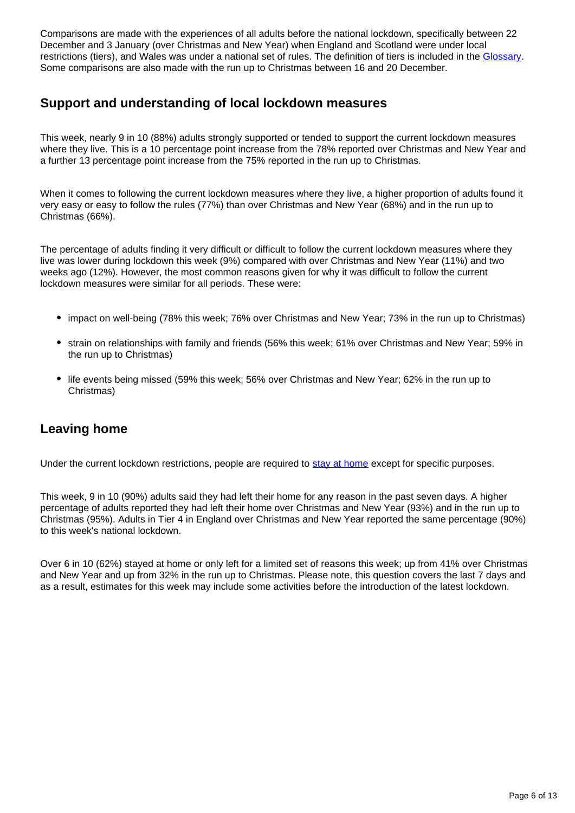Comparisons are made with the experiences of all adults before the national lockdown, specifically between 22 December and 3 January (over Christmas and New Year) when England and Scotland were under local restrictions (tiers), and Wales was under a national set of rules. The definition of tiers is included in the [Glossary](https://www.ons.gov.uk/peoplepopulationandcommunity/healthandsocialcare/healthandwellbeing/bulletins/coronavirusandthesocialimpactsongreatbritain/15january2021#glossary). Some comparisons are also made with the run up to Christmas between 16 and 20 December.

### **Support and understanding of local lockdown measures**

This week, nearly 9 in 10 (88%) adults strongly supported or tended to support the current lockdown measures where they live. This is a 10 percentage point increase from the 78% reported over Christmas and New Year and a further 13 percentage point increase from the 75% reported in the run up to Christmas.

When it comes to following the current lockdown measures where they live, a higher proportion of adults found it very easy or easy to follow the rules (77%) than over Christmas and New Year (68%) and in the run up to Christmas (66%).

The percentage of adults finding it very difficult or difficult to follow the current lockdown measures where they live was lower during lockdown this week (9%) compared with over Christmas and New Year (11%) and two weeks ago (12%). However, the most common reasons given for why it was difficult to follow the current lockdown measures were similar for all periods. These were:

- impact on well-being (78% this week; 76% over Christmas and New Year; 73% in the run up to Christmas)
- strain on relationships with family and friends (56% this week; 61% over Christmas and New Year; 59% in the run up to Christmas)
- life events being missed (59% this week; 56% over Christmas and New Year; 62% in the run up to Christmas)

## **Leaving home**

Under the current lockdown restrictions, people are required to [stay at home](https://www.gov.uk/guidance/new-national-restrictions-from-5-november#stay-at-home) except for specific purposes.

This week, 9 in 10 (90%) adults said they had left their home for any reason in the past seven days. A higher percentage of adults reported they had left their home over Christmas and New Year (93%) and in the run up to Christmas (95%). Adults in Tier 4 in England over Christmas and New Year reported the same percentage (90%) to this week's national lockdown.

Over 6 in 10 (62%) stayed at home or only left for a limited set of reasons this week; up from 41% over Christmas and New Year and up from 32% in the run up to Christmas. Please note, this question covers the last 7 days and as a result, estimates for this week may include some activities before the introduction of the latest lockdown.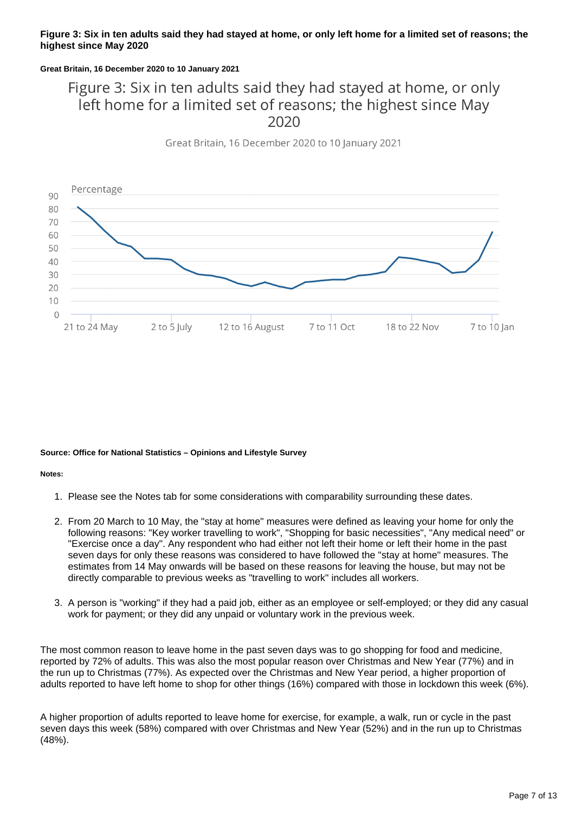#### **Figure 3: Six in ten adults said they had stayed at home, or only left home for a limited set of reasons; the highest since May 2020**

#### **Great Britain, 16 December 2020 to 10 January 2021**

# Figure 3: Six in ten adults said they had stayed at home, or only left home for a limited set of reasons; the highest since May

Great Britain, 16 December 2020 to 10 January 2021



#### **Source: Office for National Statistics – Opinions and Lifestyle Survey**

**Notes:**

- 1. Please see the Notes tab for some considerations with comparability surrounding these dates.
- 2. From 20 March to 10 May, the "stay at home" measures were defined as leaving your home for only the following reasons: "Key worker travelling to work", "Shopping for basic necessities", "Any medical need" or "Exercise once a day". Any respondent who had either not left their home or left their home in the past seven days for only these reasons was considered to have followed the "stay at home" measures. The estimates from 14 May onwards will be based on these reasons for leaving the house, but may not be directly comparable to previous weeks as "travelling to work" includes all workers.
- 3. A person is "working" if they had a paid job, either as an employee or self-employed; or they did any casual work for payment; or they did any unpaid or voluntary work in the previous week.

The most common reason to leave home in the past seven days was to go shopping for food and medicine, reported by 72% of adults. This was also the most popular reason over Christmas and New Year (77%) and in the run up to Christmas (77%). As expected over the Christmas and New Year period, a higher proportion of adults reported to have left home to shop for other things (16%) compared with those in lockdown this week (6%).

A higher proportion of adults reported to leave home for exercise, for example, a walk, run or cycle in the past seven days this week (58%) compared with over Christmas and New Year (52%) and in the run up to Christmas (48%).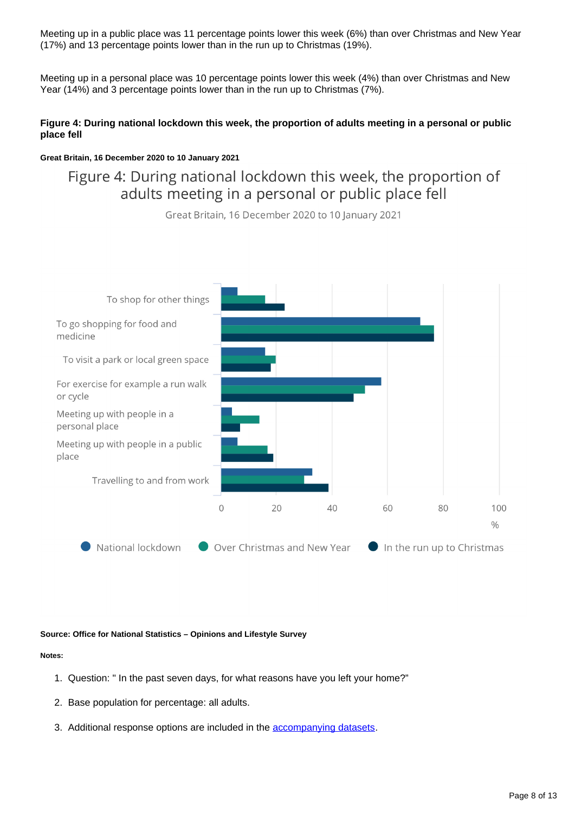Meeting up in a public place was 11 percentage points lower this week (6%) than over Christmas and New Year (17%) and 13 percentage points lower than in the run up to Christmas (19%).

Meeting up in a personal place was 10 percentage points lower this week (4%) than over Christmas and New Year (14%) and 3 percentage points lower than in the run up to Christmas (7%).

#### **Figure 4: During national lockdown this week, the proportion of adults meeting in a personal or public place fell**

#### **Great Britain, 16 December 2020 to 10 January 2021**

## Figure 4: During national lockdown this week, the proportion of adults meeting in a personal or public place fell

Great Britain, 16 December 2020 to 10 January 2021



**Source: Office for National Statistics – Opinions and Lifestyle Survey**

#### **Notes:**

- 1. Question: " In the past seven days, for what reasons have you left your home?"
- 2. Base population for percentage: all adults.
- 3. Additional response options are included in the **accompanying datasets**.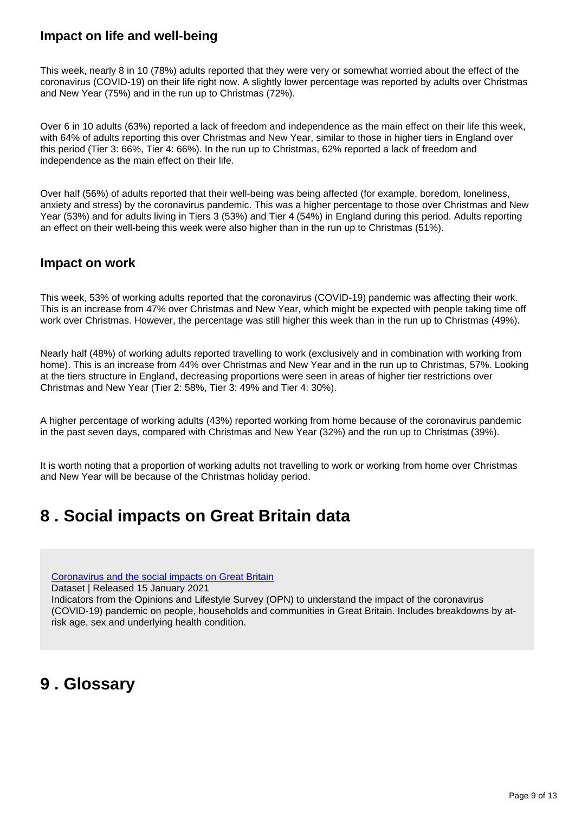### **Impact on life and well-being**

This week, nearly 8 in 10 (78%) adults reported that they were very or somewhat worried about the effect of the coronavirus (COVID-19) on their life right now. A slightly lower percentage was reported by adults over Christmas and New Year (75%) and in the run up to Christmas (72%).

Over 6 in 10 adults (63%) reported a lack of freedom and independence as the main effect on their life this week, with 64% of adults reporting this over Christmas and New Year, similar to those in higher tiers in England over this period (Tier 3: 66%, Tier 4: 66%). In the run up to Christmas, 62% reported a lack of freedom and independence as the main effect on their life.

Over half (56%) of adults reported that their well-being was being affected (for example, boredom, loneliness, anxiety and stress) by the coronavirus pandemic. This was a higher percentage to those over Christmas and New Year (53%) and for adults living in Tiers 3 (53%) and Tier 4 (54%) in England during this period. Adults reporting an effect on their well-being this week were also higher than in the run up to Christmas (51%).

### **Impact on work**

This week, 53% of working adults reported that the coronavirus (COVID-19) pandemic was affecting their work. This is an increase from 47% over Christmas and New Year, which might be expected with people taking time off work over Christmas. However, the percentage was still higher this week than in the run up to Christmas (49%).

Nearly half (48%) of working adults reported travelling to work (exclusively and in combination with working from home). This is an increase from 44% over Christmas and New Year and in the run up to Christmas, 57%. Looking at the tiers structure in England, decreasing proportions were seen in areas of higher tier restrictions over Christmas and New Year (Tier 2: 58%, Tier 3: 49% and Tier 4: 30%).

A higher percentage of working adults (43%) reported working from home because of the coronavirus pandemic in the past seven days, compared with Christmas and New Year (32%) and the run up to Christmas (39%).

It is worth noting that a proportion of working adults not travelling to work or working from home over Christmas and New Year will be because of the Christmas holiday period.

# <span id="page-8-0"></span>**8 . Social impacts on Great Britain data**

[Coronavirus and the social impacts on Great Britain](https://www.ons.gov.uk/peoplepopulationandcommunity/healthandsocialcare/healthandwellbeing/datasets/coronavirusandthesocialimpactsongreatbritaindata)

Dataset | Released 15 January 2021

Indicators from the Opinions and Lifestyle Survey (OPN) to understand the impact of the coronavirus (COVID-19) pandemic on people, households and communities in Great Britain. Includes breakdowns by atrisk age, sex and underlying health condition.

# <span id="page-8-1"></span>**9 . Glossary**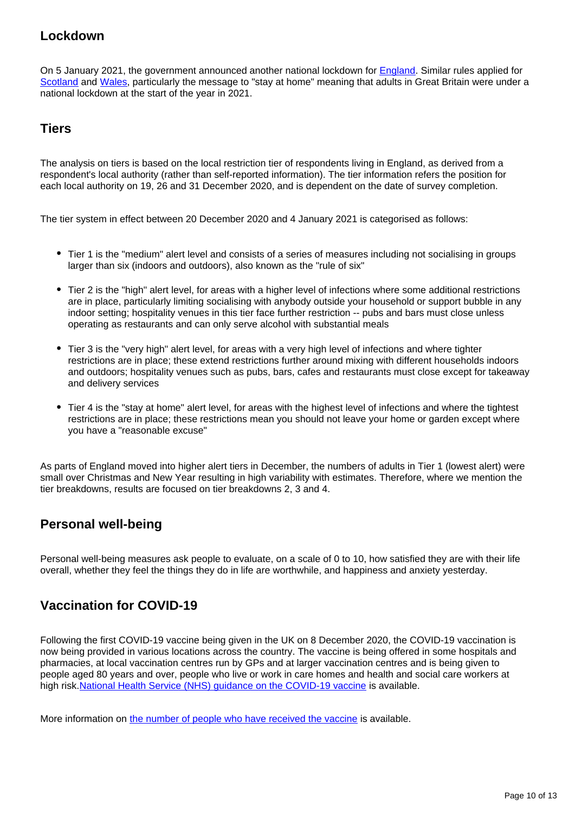### **Lockdown**

On 5 January 2021, the government announced another national lockdown for [England](https://www.gov.uk/guidance/national-lockdown-stay-at-home). Similar rules applied for [Scotland](https://www.gov.scot/publications/coronavirus-covid-19-stay-at-home-guidance/) and [Wales,](https://gov.wales/covid-19-alert-levels) particularly the message to "stay at home" meaning that adults in Great Britain were under a national lockdown at the start of the year in 2021.

### **Tiers**

The analysis on tiers is based on the local restriction tier of respondents living in England, as derived from a respondent's local authority (rather than self-reported information). The tier information refers the position for each local authority on 19, 26 and 31 December 2020, and is dependent on the date of survey completion.

The tier system in effect between 20 December 2020 and 4 January 2021 is categorised as follows:

- Tier 1 is the "medium" alert level and consists of a series of measures including not socialising in groups larger than six (indoors and outdoors), also known as the "rule of six"
- Tier 2 is the "high" alert level, for areas with a higher level of infections where some additional restrictions are in place, particularly limiting socialising with anybody outside your household or support bubble in any indoor setting; hospitality venues in this tier face further restriction -- pubs and bars must close unless operating as restaurants and can only serve alcohol with substantial meals
- Tier 3 is the "very high" alert level, for areas with a very high level of infections and where tighter restrictions are in place; these extend restrictions further around mixing with different households indoors and outdoors; hospitality venues such as pubs, bars, cafes and restaurants must close except for takeaway and delivery services
- Tier 4 is the "stay at home" alert level, for areas with the highest level of infections and where the tightest restrictions are in place; these restrictions mean you should not leave your home or garden except where you have a "reasonable excuse"

As parts of England moved into higher alert tiers in December, the numbers of adults in Tier 1 (lowest alert) were small over Christmas and New Year resulting in high variability with estimates. Therefore, where we mention the tier breakdowns, results are focused on tier breakdowns 2, 3 and 4.

### **Personal well-being**

Personal well-being measures ask people to evaluate, on a scale of 0 to 10, how satisfied they are with their life overall, whether they feel the things they do in life are worthwhile, and happiness and anxiety yesterday.

### **Vaccination for COVID-19**

Following the first COVID-19 vaccine being given in the UK on 8 December 2020, the COVID-19 vaccination is now being provided in various locations across the country. The vaccine is being offered in some hospitals and pharmacies, at local vaccination centres run by GPs and at larger vaccination centres and is being given to people aged 80 years and over, people who live or work in care homes and health and social care workers at high risk[.National Health Service \(NHS\) guidance on the COVID-19 vaccine](https://www.nhs.uk/conditions/coronavirus-covid-19/coronavirus-vaccination/coronavirus-vaccine/?priority-taxon=774cee22-d896-44c1-a611-e3109cce8eae) is available.

More information on [the number of people who have received the vaccine](https://coronavirus.data.gov.uk/details/healthcare#card-people_who_have_received_vaccinations_by_report_date_daily) is available.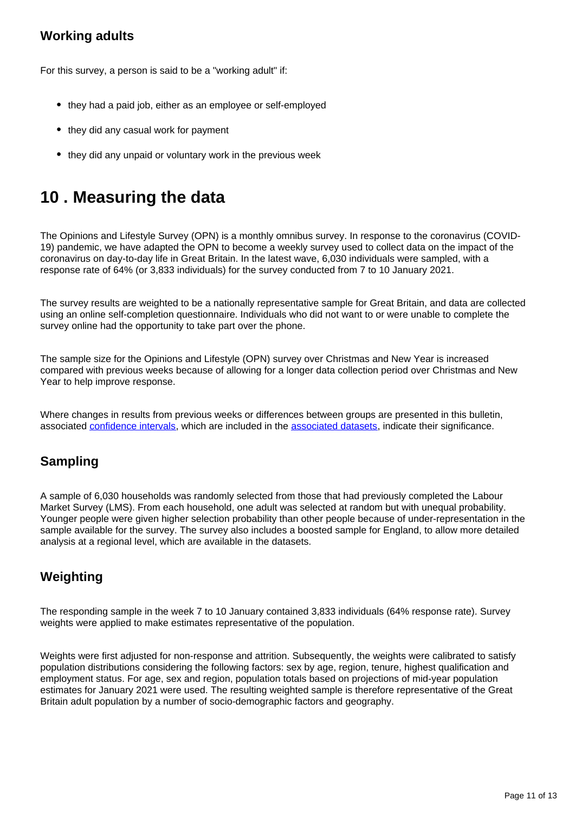## **Working adults**

For this survey, a person is said to be a "working adult" if:

- they had a paid job, either as an employee or self-employed
- they did any casual work for payment
- they did any unpaid or voluntary work in the previous week

# <span id="page-10-0"></span>**10 . Measuring the data**

The Opinions and Lifestyle Survey (OPN) is a monthly omnibus survey. In response to the coronavirus (COVID-19) pandemic, we have adapted the OPN to become a weekly survey used to collect data on the impact of the coronavirus on day-to-day life in Great Britain. In the latest wave, 6,030 individuals were sampled, with a response rate of 64% (or 3,833 individuals) for the survey conducted from 7 to 10 January 2021.

The survey results are weighted to be a nationally representative sample for Great Britain, and data are collected using an online self-completion questionnaire. Individuals who did not want to or were unable to complete the survey online had the opportunity to take part over the phone.

The sample size for the Opinions and Lifestyle (OPN) survey over Christmas and New Year is increased compared with previous weeks because of allowing for a longer data collection period over Christmas and New Year to help improve response.

Where changes in results from previous weeks or differences between groups are presented in this bulletin, associated [confidence intervals](https://www.ons.gov.uk/methodology/methodologytopicsandstatisticalconcepts/uncertaintyandhowwemeasureit#confidence-interval), which are included in the [associated datasets,](https://www.ons.gov.uk/peoplepopulationandcommunity/healthandsocialcare/healthandwellbeing/bulletins/coronavirusandthesocialimpactsongreatbritain/15january2021/relateddata) indicate their significance.

## **Sampling**

A sample of 6,030 households was randomly selected from those that had previously completed the Labour Market Survey (LMS). From each household, one adult was selected at random but with unequal probability. Younger people were given higher selection probability than other people because of under-representation in the sample available for the survey. The survey also includes a boosted sample for England, to allow more detailed analysis at a regional level, which are available in the datasets.

## **Weighting**

The responding sample in the week 7 to 10 January contained 3,833 individuals (64% response rate). Survey weights were applied to make estimates representative of the population.

Weights were first adjusted for non-response and attrition. Subsequently, the weights were calibrated to satisfy population distributions considering the following factors: sex by age, region, tenure, highest qualification and employment status. For age, sex and region, population totals based on projections of mid-year population estimates for January 2021 were used. The resulting weighted sample is therefore representative of the Great Britain adult population by a number of socio-demographic factors and geography.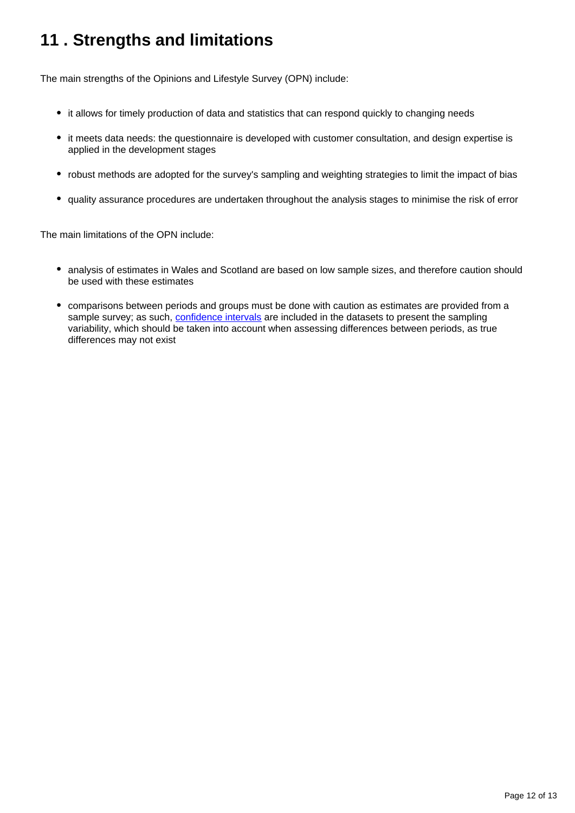# <span id="page-11-0"></span>**11 . Strengths and limitations**

The main strengths of the Opinions and Lifestyle Survey (OPN) include:

- it allows for timely production of data and statistics that can respond quickly to changing needs
- it meets data needs: the questionnaire is developed with customer consultation, and design expertise is applied in the development stages
- robust methods are adopted for the survey's sampling and weighting strategies to limit the impact of bias
- quality assurance procedures are undertaken throughout the analysis stages to minimise the risk of error

The main limitations of the OPN include:

- analysis of estimates in Wales and Scotland are based on low sample sizes, and therefore caution should be used with these estimates
- comparisons between periods and groups must be done with caution as estimates are provided from a sample survey; as such, [confidence intervals](https://www.ons.gov.uk/methodology/methodologytopicsandstatisticalconcepts/uncertaintyandhowwemeasureit#confidence-interval) are included in the datasets to present the sampling variability, which should be taken into account when assessing differences between periods, as true differences may not exist